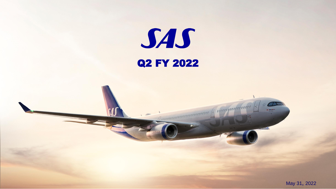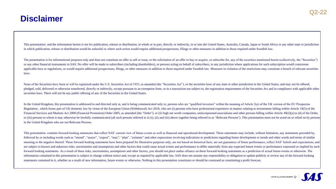# **Disclaimer**

This presentation and the information herein is not for publication, release or distribution, in whole or in part, directly or indirectly, in or into the United States, Australia, Canada, Japan or South Africa or any other in which publication, release or distribution would be unlawful or where such action would require additional prospectuses, filings or other measures in addition to those required under Swedish law.

The presentation is for informational purposes only and does not constitute an offer to sell or issue, or the solicitation of an offer to buy or acquire, or subscribe for, any of the securities mentioned herein (collective or any other financial instruments in SAS. No offer will be made to subscribers (including shareholders), or persons acting on behalf of subscribers, in any jurisdiction where applications for such subscription would contr applicable laws or regulations, or would require additional prospectuses, filings, or other measures in addition to those required under Swedish law. Measures in violation of the restrictions may constitute a breach of rel laws.

None of the Securities have been or will be registered under the U.S. Securities Act of 1933, as amended (the "Securities Act"), or the securities laws of any state or other jurisdiction in the United States, and may not b pledged, sold, delivered or otherwise transferred, directly or indirectly, except pursuant to an exemption from, or in a transaction not subject to, the registration requirements of the Securities Act and in compliance wit securities laws. There will not be any public offering of any of the Securities in the United States.

In the United Kingdom, this presentation is addressed to and directed only at, and is being communicated only to, persons who are "qualified investors" within the meaning of Article 2(e) of the UK version of the EU Prospec Regulation, which forms part of UK domestic law by virtue of the European Union (Withdrawal) Act 2018, who are (i) persons who have professional experience in matters relating to investments falling within Article 19(5) of Financial Services and Markets Act 2000 (Financial Promotion) Order 2005, as amended (the "Order"), or (ii) high net worth companies, unincorporated associations and other persons falling within Article 49(2)(a) to (d) of or (iii) persons to whom it may otherwise be lawfully communicated (all such persons referred to in (i), (ii) and (iii) above together being referred to as "Relevant Persons"). This presentation must not be acted on or rel in the United Kingdom who are not Relevant Persons.

This presentation contains forward-looking statements that reflect SAS' current view of future events as well as financial and operational development. These statements may include, without limitation, any statements prece followed by or including words such as "intend", "assess", "expect", "may", "plan", "estimate" and other expressions involving indications or predictions regarding future development or trends and other words and terms of meaning or the negative thereof. These forward-looking statements have been prepared for illustrative purposes only, are not based on historical facts, are not guarantees of future performance, reflect SAS' beliefs and exp are subject to known and unknown risks, uncertainties and assumptions and other factors that could cause actual events and performance to differ materially from any expected future events or performance expressed or implie forward-looking statements. As a result of these risks, uncertainties, assumptions and other factors, you should not place undue reliance on these forward-looking statements as a prediction of actual future events or other information contained in this presentation is subject to change without notice and, except as required by applicable law, SAS does not assume any responsibility or obligation to update publicly or review any of the forward statements contained in it, whether as a result of new information, future events or otherwise. Nothing in this presentation constitutes or should be construed as constituting a profit forecast.

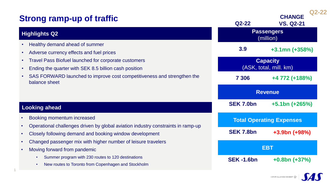| <b>Strong ramp-up of traffic</b>                                                                                                               | $Q2-22$                                   | $Q2 - 22$<br><b>CHANGE</b><br><b>VS. Q2-21</b> |
|------------------------------------------------------------------------------------------------------------------------------------------------|-------------------------------------------|------------------------------------------------|
| <b>Highlights Q2</b>                                                                                                                           | <b>Passengers</b><br>(million)            |                                                |
| Healthy demand ahead of summer<br>$\bullet$<br>Adverse currency effects and fuel prices<br>$\bullet$                                           | 3.9                                       | $+3.1$ mn (+358%)                              |
| <b>Travel Pass Biofuel launched for corporate customers</b><br>$\bullet$<br>Ending the quarter with SEK 8.5 billion cash position<br>$\bullet$ | <b>Capacity</b><br>(ASK, total, mill. km) |                                                |
| SAS FORWARD launched to improve cost competitiveness and strengthen the<br>$\bullet$<br>balance sheet                                          | 7 306                                     | +4 772 (+188%)                                 |
|                                                                                                                                                | <b>Revenue</b>                            |                                                |
| <b>Looking ahead</b>                                                                                                                           | <b>SEK 7.0bn</b>                          | $+5.1$ bn (+265%)                              |
| Booking momentum increased                                                                                                                     | <b>Total Operating Expenses</b>           |                                                |
| Operational challenges driven by global aviation industry constraints in ramp-up<br>Closely following demand and booking window development    | <b>SEK 7.8bn</b>                          | $+3.9bn (+98%)$                                |
| Changed passenger mix with higher number of leisure travelers<br>$\bullet$<br>Moving forward from pandemic<br>$\bullet$                        |                                           | <b>EBT</b>                                     |
| Summer program with 230 routes to 120 destinations<br>New routes to Toronto from Copenhagen and Stockholm                                      | <b>SEK-1.6bn</b>                          | $+0.8bn (+37%)$                                |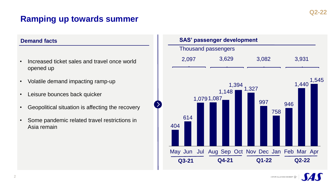# **Ramping up towards summer**

### **Demand facts**

- Increased ticket sales and travel once world opened up
- Volatile demand impacting ramp-up
- Leisure bounces back quicker
- Geopolitical situation is affecting the recovery
- Some pandemic related travel restrictions in Asia remain



A STAR ALLIANCE MEMBER  $v_{\rm av}^{4\, {\rm p}}$ 

2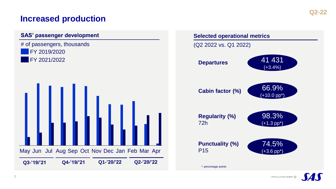



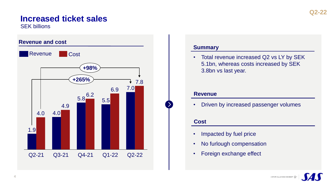# **Increased ticket sales**

SEK billions



### **Summary**

• Total revenue increased Q2 vs LY by SEK 5.1bn, whereas costs increased by SEK 3.8bn vs last year.

### **Revenue**

• Driven by increased passenger volumes

### **Cost**

- Impacted by fuel price
- No furlough compensation
- Foreign exchange effect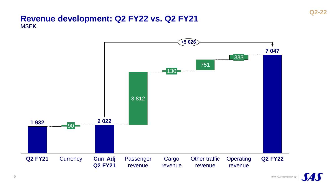### **Revenue development: Q2 FY22 vs. Q2 FY21** MSEK



**SAS**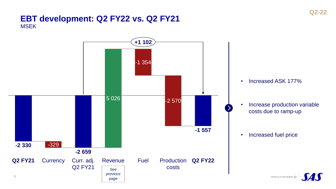# **EBT development: Q2 FY22 vs. Q2 FY21 MSEK**

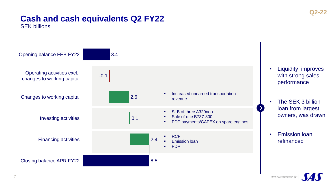# SEK billions **Cash and cash equivalents Q2 FY22**



7

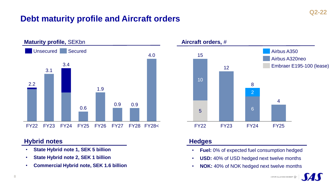# **Debt maturity profile and Aircraft orders**



### **Hybrid notes**

- **State Hybrid note 1, SEK 5 billion**
- **State Hybrid note 2, SEK 1 billion**
- **Commercial Hybrid note, SEK 1.6 billion**



### **Hedges**

- **Fuel:** 0% of expected fuel consumption hedged
- **USD:** 40% of USD hedged next twelve months
- **NOK:** 40% of NOK hedged next twelve months

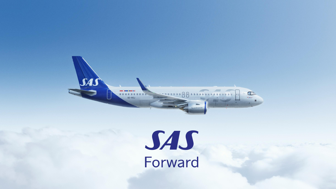

# SAS<br>Forward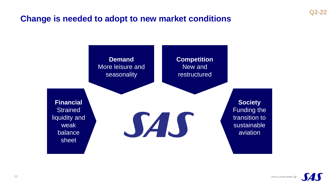# **Change is needed to adopt to new market conditions**



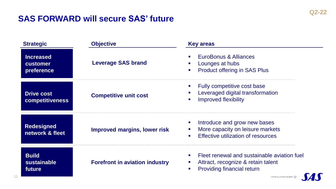# **SAS FORWARD will secure SAS' future**

| <b>Strategic</b>                                  | <b>Objective</b>                      | <b>Key areas</b>                                                                                                                                                                     |
|---------------------------------------------------|---------------------------------------|--------------------------------------------------------------------------------------------------------------------------------------------------------------------------------------|
| <b>Increased</b><br><b>customer</b><br>preference | <b>Leverage SAS brand</b>             | EuroBonus & Alliances<br>Lounges at hubs<br><b>Product offering in SAS Plus</b>                                                                                                      |
| <b>Drive cost</b><br><b>competitiveness</b>       | <b>Competitive unit cost</b>          | Fully competitive cost base<br>Leveraged digital transformation<br><b>Improved flexibility</b>                                                                                       |
| <b>Redesigned</b><br>network & fleet              | Improved margins, lower risk          | Introduce and grow new bases<br>More capacity on leisure markets<br>Effective utilization of resources<br>$\mathbf{r}$                                                               |
| <b>Build</b><br>sustainable<br>future             | <b>Forefront in aviation industry</b> | Fleet renewal and sustainable aviation fuel<br>Attract, recognize & retain talent<br><b>Providing financial return</b><br>A STAR ALLIANCE MEMBER $\frac{q^4\mathbf{p}}{2\mathbf{q}}$ |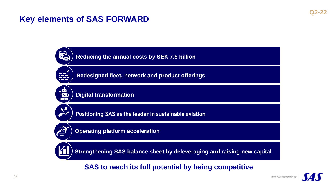# **Key elements of SAS FORWARD**



**SAS to reach its full potential by being competitive**

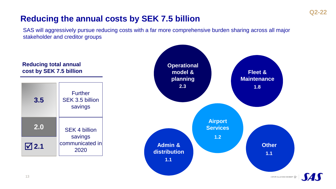# **Q2-22**

# **Reducing the annual costs by SEK 7.5 billion**

SAS will aggressively pursue reducing costs with a far more comprehensive burden sharing across all major stakeholder and creditor groups

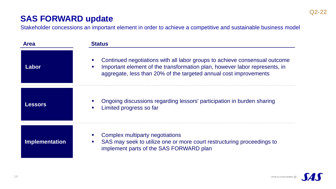# **SAS FORWARD update**

Stakeholder concessions an important element in order to achieve a competitive and sustainable business model

| <b>Area</b>           | <b>Status</b>                                                                                                                                                                                                                 |  |
|-----------------------|-------------------------------------------------------------------------------------------------------------------------------------------------------------------------------------------------------------------------------|--|
| Labor                 | Continued negotiations with all labor groups to achieve consensual outcome<br>Important element of the transformation plan, however labor represents, in<br>aggregate, less than 20% of the targeted annual cost improvements |  |
| <b>Lessors</b>        | Ongoing discussions regarding lessors' participation in burden sharing<br>Limited progress so far                                                                                                                             |  |
| <b>Implementation</b> | Complex multiparty negotiations<br>SAS may seek to utilize one or more court restructuring proceedings to<br>implement parts of the SAS FORWARD plan                                                                          |  |

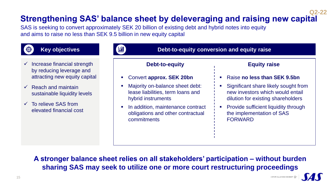### **Strengthening SAS' balance sheet by deleveraging and raising new capital Q2-22**

SAS is seeking to convert approximately SEK 20 billion of existing debt and hybrid notes into equity and aims to raise no less than SEK 9.5 billion in new equity capital



# **Key objectives**

- $\checkmark$  Increase financial strength by reducing leverage and attracting new equity capital
- $\checkmark$  Reach and maintain sustainable liquidity levels
- $\checkmark$  To relieve SAS from elevated financial cost



| Debt-to-equity conversion and equity raise |  |
|--------------------------------------------|--|
|                                            |  |
|                                            |  |

# **Debt-to-equity**

- Convert **approx. SEK 20bn**
- Majority on-balance sheet debt: lease liabilities, term loans and hybrid instruments
- In addition, maintenance contract obligations and other contractual commitments

### **Equity raise**

- Raise **no less than SEK 9.5bn**
- Significant share likely sought from new investors which would entail dilution for existing shareholders
- **Provide sufficient liquidity through** the implementation of SAS FORWARD

**A stronger balance sheet relies on all stakeholders' participation – without burden sharing SAS may seek to utilize one or more court restructuring proceedings**

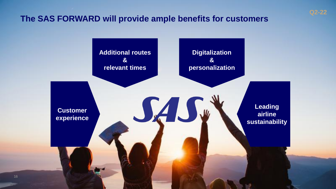# **The SAS FORWARD will provide ample benefits for customers**



**Q2-22**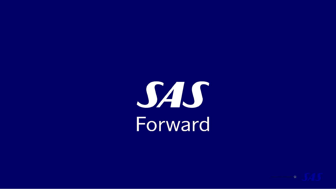